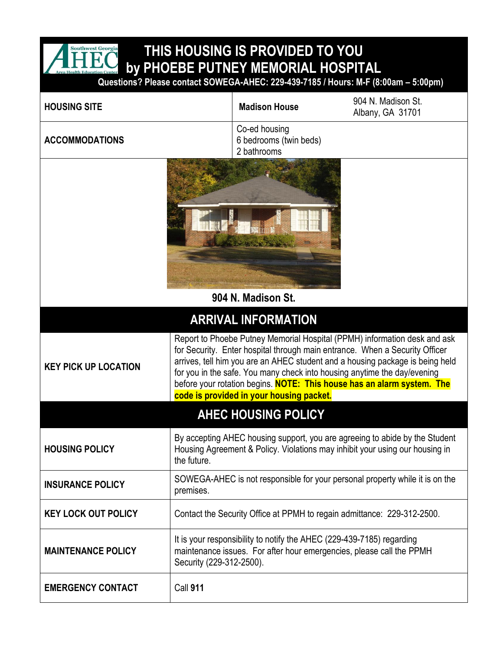

## **THIS HOUSING IS PROVIDED TO YOU by PHOEBE PUTNEY MEMORIAL HOSPITAL**

 **Questions? Please contact SOWEGA-AHEC: 229-439-7185 / Hours: M-F (8:00am – 5:00pm)**

| <b>HOUSING SITE</b>         | <b>Madison House</b>                                                                                                                                                                                                                                                                                                                                                                                                                        | 904 N. Madison St.<br>Albany, GA 31701 |  |
|-----------------------------|---------------------------------------------------------------------------------------------------------------------------------------------------------------------------------------------------------------------------------------------------------------------------------------------------------------------------------------------------------------------------------------------------------------------------------------------|----------------------------------------|--|
| <b>ACCOMMODATIONS</b>       | Co-ed housing<br>6 bedrooms (twin beds)<br>2 bathrooms                                                                                                                                                                                                                                                                                                                                                                                      |                                        |  |
|                             |                                                                                                                                                                                                                                                                                                                                                                                                                                             |                                        |  |
|                             |                                                                                                                                                                                                                                                                                                                                                                                                                                             |                                        |  |
| 904 N. Madison St.          |                                                                                                                                                                                                                                                                                                                                                                                                                                             |                                        |  |
| <b>ARRIVAL INFORMATION</b>  |                                                                                                                                                                                                                                                                                                                                                                                                                                             |                                        |  |
| <b>KEY PICK UP LOCATION</b> | Report to Phoebe Putney Memorial Hospital (PPMH) information desk and ask<br>for Security. Enter hospital through main entrance. When a Security Officer<br>arrives, tell him you are an AHEC student and a housing package is being held<br>for you in the safe. You many check into housing anytime the day/evening<br>before your rotation begins. NOTE: This house has an alarm system. The<br>code is provided in your housing packet. |                                        |  |
| <b>AHEC HOUSING POLICY</b>  |                                                                                                                                                                                                                                                                                                                                                                                                                                             |                                        |  |
| <b>HOUSING POLICY</b>       | By accepting AHEC housing support, you are agreeing to abide by the Student<br>Housing Agreement & Policy. Violations may inhibit your using our housing in<br>the future.                                                                                                                                                                                                                                                                  |                                        |  |
| <b>INSURANCE POLICY</b>     | SOWEGA-AHEC is not responsible for your personal property while it is on the<br>premises.                                                                                                                                                                                                                                                                                                                                                   |                                        |  |
| <b>KEY LOCK OUT POLICY</b>  | Contact the Security Office at PPMH to regain admittance: 229-312-2500.                                                                                                                                                                                                                                                                                                                                                                     |                                        |  |
| <b>MAINTENANCE POLICY</b>   | It is your responsibility to notify the AHEC (229-439-7185) regarding<br>maintenance issues. For after hour emergencies, please call the PPMH<br>Security (229-312-2500).                                                                                                                                                                                                                                                                   |                                        |  |
| <b>EMERGENCY CONTACT</b>    | <b>Call 911</b>                                                                                                                                                                                                                                                                                                                                                                                                                             |                                        |  |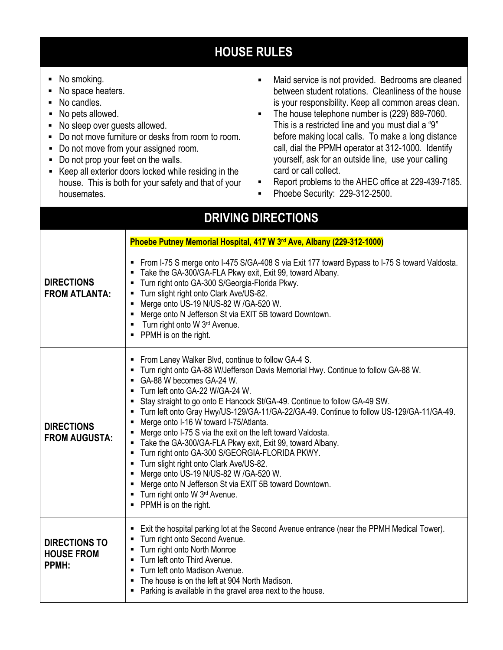## **HOUSE RULES**

- No smoking.
- No space heaters.
- No candles.
- No pets allowed.
- No sleep over guests allowed.
- Do not move furniture or desks from room to room.
- Do not move from your assigned room.
- Do not prop your feet on the walls.
- Keep all exterior doors locked while residing in the house. This is both for your safety and that of your housemates.
- Maid service is not provided. Bedrooms are cleaned between student rotations. Cleanliness of the house is your responsibility. Keep all common areas clean.
- **The house telephone number is (229) 889-7060.** This is a restricted line and you must dial a "9" before making local calls. To make a long distance call, dial the PPMH operator at 312-1000. Identify yourself, ask for an outside line, use your calling card or call collect.
- Report problems to the AHEC office at 229-439-7185.
- Phoebe Security: 229-312-2500.

## **DRIVING DIRECTIONS DIRECTIONS FROM ATLANTA: Phoebe Putney Memorial Hospital, 417 W 3rd Ave, Albany (229-312-1000)** From I-75 S merge onto I-475 S/GA-408 S via Exit 177 toward Bypass to I-75 S toward Valdosta. Take the GA-300/GA-FLA Pkwy exit, Exit 99, toward Albany. **Turn right onto GA-300 S/Georgia-Florida Pkwy. Turn slight right onto Clark Ave/US-82.** ■ Merge onto US-19 N/US-82 W /GA-520 W. Merge onto N Jefferson St via EXIT 5B toward Downtown. **Turn right onto W 3rd Avenue. PPMH** is on the right. **DIRECTIONS FROM AUGUSTA: From Laney Walker Blvd, continue to follow GA-4 S.**  Turn right onto GA-88 W/Jefferson Davis Memorial Hwy. Continue to follow GA-88 W. GA-88 W becomes GA-24 W. Turn left onto GA-22 W/GA-24 W. Stay straight to go onto E Hancock St/GA-49. Continue to follow GA-49 SW. Turn left onto Gray Hwy/US-129/GA-11/GA-22/GA-49. Continue to follow US-129/GA-11/GA-49. ■ Merge onto I-16 W toward I-75/Atlanta. Merge onto I-75 S via the exit on the left toward Valdosta. Take the GA-300/GA-FLA Pkwy exit, Exit 99, toward Albany. **Turn right onto GA-300 S/GEORGIA-FLORIDA PKWY. Turn slight right onto Clark Ave/US-82.** Merge onto US-19 N/US-82 W /GA-520 W. Merge onto N Jefferson St via EXIT 5B toward Downtown. **Turn right onto W 3rd Avenue. PPMH** is on the right. **DIRECTIONS TO HOUSE FROM PPMH:** Exit the hospital parking lot at the Second Avenue entrance (near the PPMH Medical Tower). **Turn right onto Second Avenue. Turn right onto North Monroe Turn left onto Third Avenue. Turn left onto Madison Avenue.** The house is on the left at 904 North Madison. **Parking is available in the gravel area next to the house.**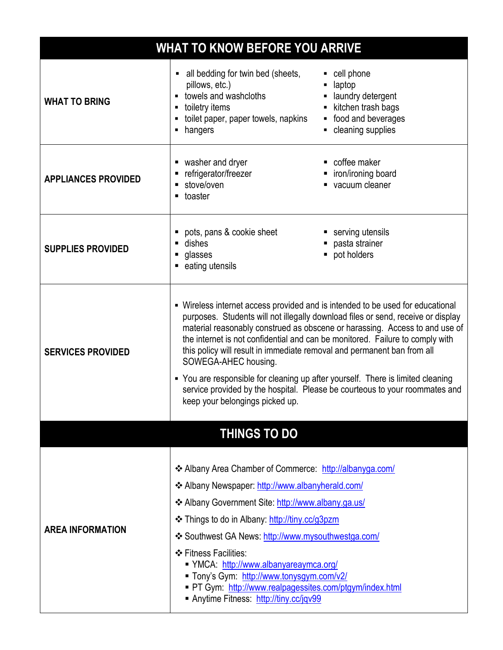| <b>WHAT TO KNOW BEFORE YOU ARRIVE</b> |                                                                                                                                                                                                                                                                                                                                                                                                                                                                                                                                                                                                                                            |                                                                                                            |
|---------------------------------------|--------------------------------------------------------------------------------------------------------------------------------------------------------------------------------------------------------------------------------------------------------------------------------------------------------------------------------------------------------------------------------------------------------------------------------------------------------------------------------------------------------------------------------------------------------------------------------------------------------------------------------------------|------------------------------------------------------------------------------------------------------------|
| <b>WHAT TO BRING</b>                  | • all bedding for twin bed (sheets,<br>pillows, etc.)<br>towels and washcloths<br>toiletry items<br>$\blacksquare$<br>toilet paper, paper towels, napkins<br>hangers                                                                                                                                                                                                                                                                                                                                                                                                                                                                       | cell phone<br>laptop<br>laundry detergent<br>kitchen trash bags<br>food and beverages<br>cleaning supplies |
| <b>APPLIANCES PROVIDED</b>            | washer and dryer<br>п<br>refrigerator/freezer<br>stove/oven<br>$\blacksquare$ toaster                                                                                                                                                                                                                                                                                                                                                                                                                                                                                                                                                      | coffee maker<br>iron/ironing board<br>vacuum cleaner                                                       |
| <b>SUPPLIES PROVIDED</b>              | pots, pans & cookie sheet<br>dishes<br>glasses<br>eating utensils                                                                                                                                                                                                                                                                                                                                                                                                                                                                                                                                                                          | serving utensils<br>pasta strainer<br>pot holders<br>ш                                                     |
| <b>SERVICES PROVIDED</b>              | • Wireless internet access provided and is intended to be used for educational<br>purposes. Students will not illegally download files or send, receive or display<br>material reasonably construed as obscene or harassing. Access to and use of<br>the internet is not confidential and can be monitored. Failure to comply with<br>this policy will result in immediate removal and permanent ban from all<br>SOWEGA-AHEC housing.<br>• You are responsible for cleaning up after yourself. There is limited cleaning<br>service provided by the hospital. Please be courteous to your roommates and<br>keep your belongings picked up. |                                                                                                            |
|                                       | <b>THINGS TO DO</b>                                                                                                                                                                                                                                                                                                                                                                                                                                                                                                                                                                                                                        |                                                                                                            |
| <b>AREA INFORMATION</b>               | * Albany Area Chamber of Commerce: http://albanyga.com/<br>Later Albany Newspaper: http://www.albanyherald.com/<br>❖ Albany Government Site: http://www.albany.ga.us/<br>❖ Things to do in Albany: http://tiny.cc/g3pzm<br>❖ Southwest GA News: http://www.mysouthwestga.com/<br>❖ Fitness Facilities:<br>■ YMCA: http://www.albanyareaymca.org/<br>Tony's Gym: http://www.tonysgym.com/v2/<br>PT Gym: http://www.realpagessites.com/ptgym/index.html<br>Anytime Fitness: http://tiny.cc/jqv99                                                                                                                                             |                                                                                                            |